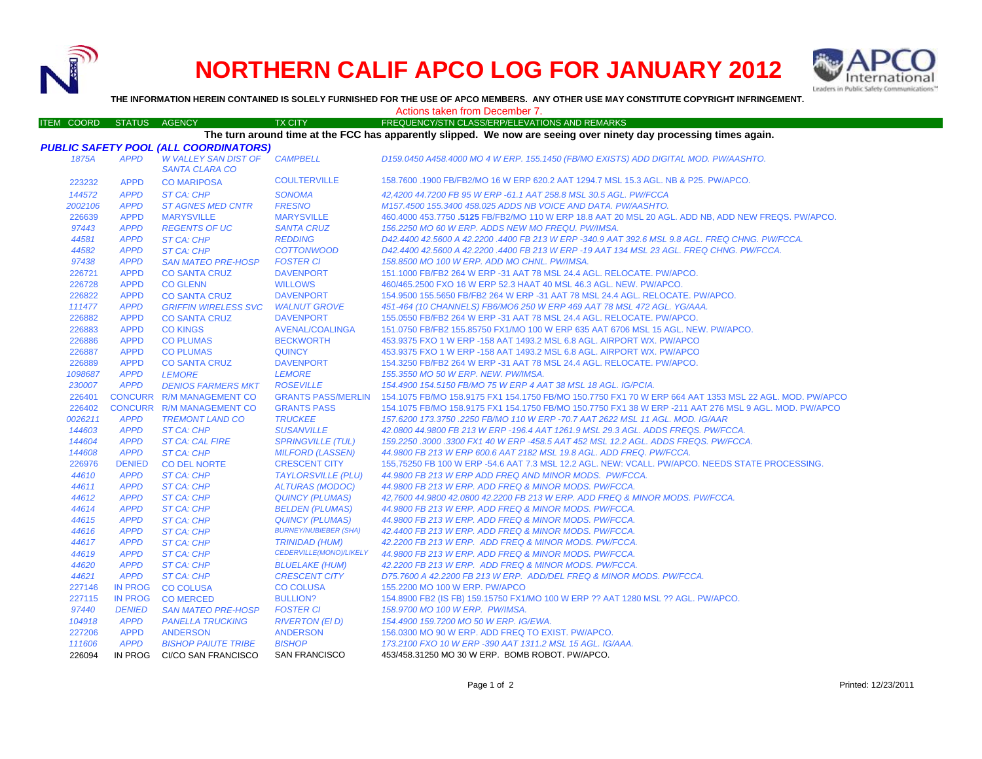

226094 IN PROG CI/CO SAN FRANCISCO

## **NORTHERN CALIF APCO LOG FOR JANUARY 2012**



**THE INFORMATION HEREIN CONTAINED IS SOLELY FURNISHED FOR THE USE OF APCO MEMBERS. ANY OTHER USE MAY CONSTITUTE COPYRIGHT INFRINGEMENT.**

Actions taken from December 7.

## ITEM COORD STATUS AGENCY TX CITY TREQUENCY/STN CLASS/ERP/ELEVATIONS AND REMARKS *PUBLIC SAFETY POOL (ALL COORDINATORS) 1875A APPD W VALLEY SAN DIST OF SANTA CLARA COCAMPBELL D159.0450 A458.4000 MO 4 W ERP. 155.1450 (FB/MO EXISTS) ADD DIGITAL MOD. PW/AASHTO.* 223232 APPD CO MARIPOSA COULTERVILLE 158.7600 .1900 FB/FB2/MO 16 W ERP 620.2 AAT 1294.7 MSL 15.3 AGL. NB & P25. PW/APCO. *144572 APPD ST CA: CHP SONOMA 42,4200 44.7200 FB 95 W ERP -61.1 AAT 258.8 MSL 30.5 AGL. PW/FCCA 2002106 APPD ST AGNES MED CNTR FRESNO M157.4500 155.3400 458.025 ADDS NB VOICE AND DATA. PW/AASHTO.* 226639 APPD**MARYSVILLE**  MARYSVILLE 460.4000 453.7750 **.5125** FB/FB2/MO 110 W ERP 18.8 AAT 20 MSL 20 AGL. ADD NB, ADD NEW FREQS. PW/APCO. *97443 APPD REGENTS OF UC SANTA CRUZ 156.2250 MO 60 W ERP. ADDS NEW MO FREQU. PW/IMSA. 44581 APPD ST CA: CHP REDDING D42.4400 42.5600 A 42.2200 .4400 FB 213 W ERP -340.9 AAT 392.6 MSL 9.8 AGL. FREQ CHNG. PW/FCCA. 44582 APPD ST CA: CHP COTTONWOOD D42.4400 42.5600 A 42.2200 .4400 FB 213 W ERP -19 AAT 134 MSL 23 AGL. FREQ CHNG. PW/FCCA. 97438 APPD SAN MATEO PRE-HOSP FOSTER CI 158.8500 MO 100 W ERP. ADD MO CHNL. PW/IMSA.* 226721 APPD CO SANTA CRUZ DAVENPORT 151.1000 FB/FB2 264 W ERP -31 AAT 78 MSL 24.4 AGL. RELOCATE. PW/APCO. 226728 APPD CO GLENN WILLOWS 460/465.2500 FXO 16 W ERP 52.3 HAAT 40 MSL 46.3 AGL. NEW. PW/APCO. 226822 APPD CO SANTA CRUZ DAVENPORT 154.9500 155.5650 FB/FB2 264 W ERP -31 AAT 78 MSL 24.4 AGL. RELOCATE. PW/APCO. *111477 APPD GRIFFIN WIRELESS SVC WALNUT GROVE 451-464 (10 CHANNELS) FB6/MO6 250 W ERP 469 AAT 78 MSL 472 AGL. YG/AAA.* 226882 APPD CO SANTA CRUZ DAVENPORT 155.0550 FB/FB2 264 W ERP -31 AAT 78 MSL 24.4 AGL. RELOCATE. PW/APCO. 226883 APPD CO KINGS AVENAL/COALINGA 151.0750 FB/FB2 155.85750 FX1/MO 100 W ERP 635 AAT 6706 MSL 15 AGL. NEW. PW/APCO. 226886 APPD CO PLUMAS BECKWORTH 453.9375 FXO 1 W ERP -158 AAT 1493.2 MSL 6.8 AGL. AIRPORT WX. PW/APCO 226887 APPD CO PLUMAS QUINCY 453.9375 FXO 1 W ERP -158 AAT 1493.2 MSL 6.8 AGL. AIRPORT WX. PW/APCO 226889 APPD CO SANTA CRUZ DAVENPORT 154.3250 FB/FB2 264 W ERP -31 AAT 78 MSL 24.4 AGL. RELOCATE. PW/APCO. *1098687 APPD LEMORE LEMORE 155.3550 MO 50 W ERP. NEW. PW/IMSA. 230007 APPD DENIOS FARMERS MKT ROSEVILLE 154.4900 154.5150 FB/MO 75 W ERP 4 AAT 38 MSL 18 AGL. IG/PCIA.* 226401 CONCURR R/M MANAGEMENT CO GRANTS PASS/MERLIN 154.1075 FB/MO 158.9175 FX1 154.1750 FB/MO 150.7750 FX1 70 W ERP 664 AAT 1353 MSL 22 AGL. MOD. PW/APCO 226402 CONCURR R/M MANAGEMENT CO GRANTS PASS 154.1075 FB/MO 158.9175 FX1 154.1750 FB/MO 150.7750 FX1 38 W ERP -211 AAT 276 MSL 9 AGL. MOD. PW/APCO *0026211 APPD TREMONT LAND CO TRUCKEE 157.6200 173.3750 .2250 FB/MO 110 W ERP -70.7 AAT 2622 MSL 11 AGL. MOD. IG/AAR 144603 APPD ST CA: CHP SUSANVILLE 42.0800 44.9800 FB 213 W ERP -196.4 AAT 1261.9 MSL 29.3 AGL. ADDS FREQS. PW/FCCA. 144604 APPD ST CA: CAL FIRE SPRINGVILLE (TUL) 159.2250 .3000 .3300 FX1 40 W ERP -458.5 AAT 452 MSL 12.2 AGL. ADDS FREQS. PW/FCCA. 144608 APPD ST CA: CHP MILFORD (LASSEN) 44.9800 FB 213 W ERP 600.6 AAT 2182 MSL 19.8 AGL. ADD FREQ. PW/FCCA.* 226976 DENIED CO DEL NORTE CRESCENT CITY 155,75250 FB 100 W ERP -54.6 AAT 7.3 MSL 12.2 AGL. NEW: VCALL. PW/APCO. NEEDS STATE PROCESSING. *44610 APPD ST CA: CHP TAYLORSVILLE (PLU) 44.9800 FB 213 W ERP ADD FREQ AND MINOR MODS. PW/FCCA. 44611 APPD ST CA: CHP ALTURAS (MODOC) 44.9800 FB 213 W ERP. ADD FREQ & MINOR MODS. PW/FCCA. 44612 APPD ST CA: CHP QUINCY (PLUMAS) 42,7600 44.9800 42.0800 42.2200 FB 213 W ERP. ADD FREQ & MINOR MODS. PW/FCCA. 44614 APPD ST CA: CHP BELDEN (PLUMAS) 44.9800 FB 213 W ERP. ADD FREQ & MINOR MODS. PW/FCCA. 44615 APPD ST CA: CHP QUINCY (PLUMAS) 44.9800 FB 213 W ERP. ADD FREQ & MINOR MODS. PW/FCCA. 44616 APPD ST CA: CHP BURNEY/NUBIEBER (SHA) 42.4400 FB 213 W ERP. ADD FREQ & MINOR MODS. PW/FCCA. 44617 APPD ST CA: CHP TRINIDAD (HUM) 42.2200 FB 213 W ERP. ADD FREQ & MINOR MODS. PW/FCCA. 44619 APPD ST CA: CHP CEDERVILLE(MONO)/LIKELY*  **BLUELAKE (HUM)** *44.9800 FB 213 W ERP. ADD FREQ & MINOR MODS. PW/FCCA. 44620 APPD ST CA: CHP BLUELAKE (HUM) 42.2200 FB 213 W ERP. ADD FREQ & MINOR MODS. PW/FCCA. 44621 APPD ST CA: CHP CRESCENT CITY D75.7600 A 42.2200 FB 213 W ERP. ADD/DEL FREQ & MINOR MODS. PW/FCCA.* 227146 IN PROG CO COLUSA CO COLUSA 155.2200 MO 100 W ERP. PW/APCO 227115 IN PROG CO MERCED BULLION? 154.8900 FB2 (IS FB) 159.15750 FX1/MO 100 W ERP ?? AAT 1280 MSL ?? AGL. PW/APCO. *97440 DENIED SAN MATEO PRE-HOSP FOSTER CI 158.9700 MO 100 W ERP. PW/IMSA. 104918 APPD PANELLA TRUCKING RIVERTON (El D) 154.4900 159.7200 MO 50 W ERP. IG/EWA.* 227206 APPD ANDERSON ANDERSON 156.0300 MO 90 W ERP. ADD FREQ TO EXIST. PW/APCO. *111606 APPD BISHOP PAIUTE TRIBE BISHOP 173.2100 FXO 10 W ERP -390 AAT 1311.2 MSL 15 AGL. IG/AAA.* **The turn around time at the FCC has apparently slipped. We now are seeing over ninety day processing times again.**

SAN FRANCISCO 453/458.31250 MO 30 W ERP. BOMB ROBOT. PW/APCO.